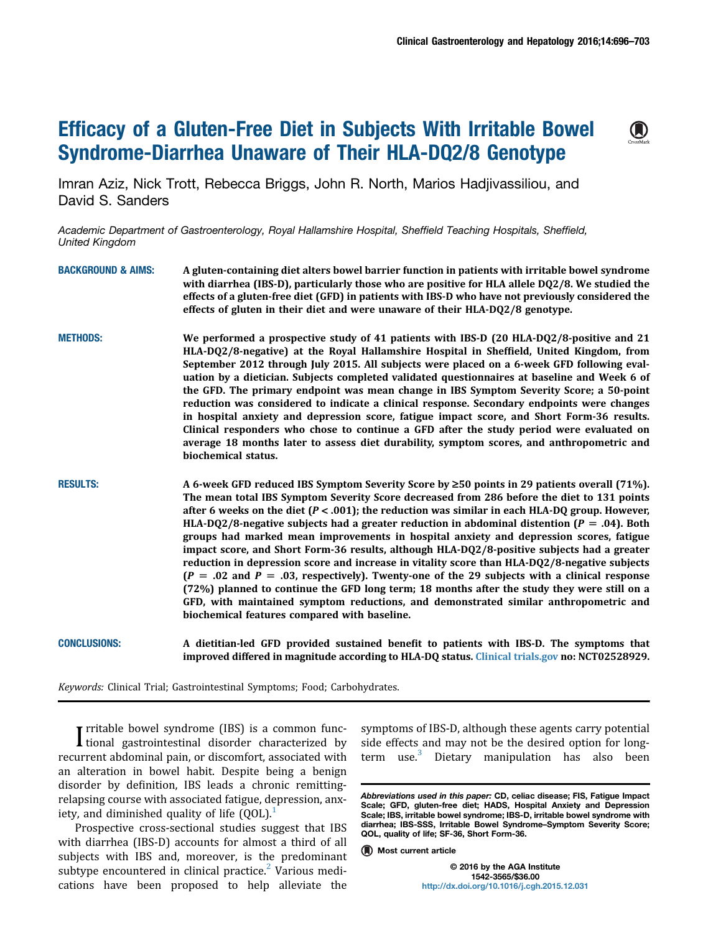# Efficacy of a Gluten-Free Diet in Subjects With Irritable Bowel Syndrome-Diarrhea Unaware of Their HLA-DQ2/8 Genotype

Imran Aziz, Nick Trott, Rebecca Briggs, John R. North, Marios Hadjivassiliou, and David S. Sanders

Academic Department of Gastroenterology, Royal Hallamshire Hospital, Sheffield Teaching Hospitals, Sheffield, United Kingdom

| <b>BACKGROUND &amp; AIMS:</b> | A gluten-containing diet alters bowel barrier function in patients with irritable bowel syndrome<br>with diarrhea (IBS-D), particularly those who are positive for HLA allele DQ2/8. We studied the<br>effects of a gluten-free diet (GFD) in patients with IBS-D who have not previously considered the<br>effects of gluten in their diet and were unaware of their HLA-DQ2/8 genotype.                                                                                                                                                                                                                                                                                                                                                                                                                                                                                                                                                                                                                                                     |  |  |  |
|-------------------------------|-----------------------------------------------------------------------------------------------------------------------------------------------------------------------------------------------------------------------------------------------------------------------------------------------------------------------------------------------------------------------------------------------------------------------------------------------------------------------------------------------------------------------------------------------------------------------------------------------------------------------------------------------------------------------------------------------------------------------------------------------------------------------------------------------------------------------------------------------------------------------------------------------------------------------------------------------------------------------------------------------------------------------------------------------|--|--|--|
| <b>METHODS:</b>               | We performed a prospective study of 41 patients with IBS-D (20 HLA-DQ2/8-positive and 21<br>HLA-DQ2/8-negative) at the Royal Hallamshire Hospital in Sheffield, United Kingdom, from<br>September 2012 through July 2015. All subjects were placed on a 6-week GFD following eval-<br>uation by a dietician. Subjects completed validated questionnaires at baseline and Week 6 of<br>the GFD. The primary endpoint was mean change in IBS Symptom Severity Score; a 50-point<br>reduction was considered to indicate a clinical response. Secondary endpoints were changes<br>in hospital anxiety and depression score, fatigue impact score, and Short Form-36 results.<br>Clinical responders who chose to continue a GFD after the study period were evaluated on<br>average 18 months later to assess diet durability, symptom scores, and anthropometric and<br>biochemical status.                                                                                                                                                     |  |  |  |
| <b>RESULTS:</b>               | A 6-week GFD reduced IBS Symptom Severity Score by $\geq 50$ points in 29 patients overall (71%).<br>The mean total IBS Symptom Severity Score decreased from 286 before the diet to 131 points<br>after 6 weeks on the diet ( $P < .001$ ); the reduction was similar in each HLA-DQ group. However,<br>HLA-DQ2/8-negative subjects had a greater reduction in abdominal distention ( $P = .04$ ). Both<br>groups had marked mean improvements in hospital anxiety and depression scores, fatigue<br>impact score, and Short Form-36 results, although HLA-DQ2/8-positive subjects had a greater<br>reduction in depression score and increase in vitality score than HLA-DQ2/8-negative subjects<br>$(P = .02$ and $P = .03$ , respectively). Twenty-one of the 29 subjects with a clinical response<br>(72%) planned to continue the GFD long term; 18 months after the study they were still on a<br>GFD, with maintained symptom reductions, and demonstrated similar anthropometric and<br>biochemical features compared with baseline. |  |  |  |
| <b>CONCLUSIONS:</b>           | A dietitian-led GFD provided sustained benefit to patients with IBS-D. The symptoms that<br>improved differed in magnitude according to HLA-DQ status. Clinical trials.gov no: NCT02528929.                                                                                                                                                                                                                                                                                                                                                                                                                                                                                                                                                                                                                                                                                                                                                                                                                                                   |  |  |  |

Keywords: Clinical Trial; Gastrointestinal Symptoms; Food; Carbohydrates.

Initiable bowel syndrome (IBS) is a common functional gastrointestinal disorder characterized by **T** rritable bowel syndrome (IBS) is a common funcrecurrent abdominal pain, or discomfort, associated with an alteration in bowel habit. Despite being a benign disorder by definition, IBS leads a chronic remittingrelapsing course with associated fatigue, depression, anxiety, and diminished quality of life  $[QOL]$ .

Prospective cross-sectional studies suggest that IBS with diarrhea (IBS-D) accounts for almost a third of all subjects with IBS and, moreover, is the predominant subtype encountered in clinical practice.<sup>2</sup> Various medications have been proposed to help alleviate the

symptoms of IBS-D, although these agents carry potential side effects and may not be the desired option for longterm use. $3$  Dietary manipulation has also been

(R) Most current article



Abbreviations used in this paper: CD, celiac disease; FIS, Fatigue Impact Scale; GFD, gluten-free diet; HADS, Hospital Anxiety and Depression Scale; IBS, irritable bowel syndrome; IBS-D, irritable bowel syndrome with diarrhea; IBS-SSS, Irritable Bowel Syndrome–Symptom Severity Score; QOL, quality of life; SF-36, Short Form-36.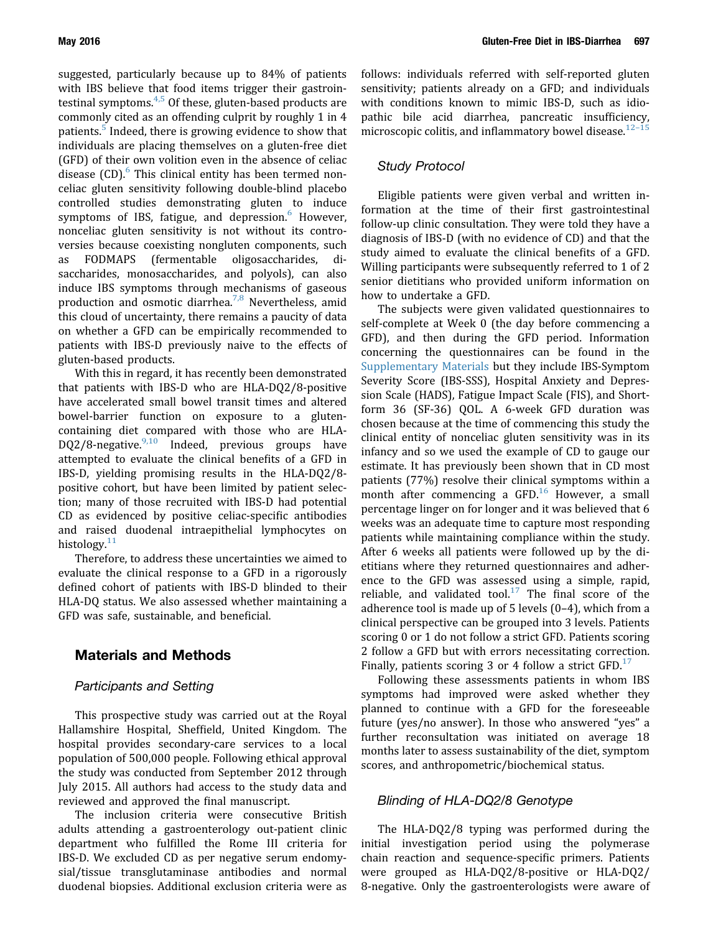suggested, particularly because up to 84% of patients with IBS believe that food items trigger their gastrointestinal symptoms. $4.5$  Of these, gluten-based products are commonly cited as an offending culprit by roughly 1 in 4 patients.<sup>5</sup> Indeed, there is growing evidence to show that individuals are placing themselves on a gluten-free diet (GFD) of their own volition even in the absence of celiac disease  $(CD)$ <sup>[6](#page-7-0)</sup>. This clinical entity has been termed nonceliac gluten sensitivity following double-blind placebo controlled studies demonstrating gluten to induce symptoms of IBS, fatigue, and depression.<sup>[6](#page-7-0)</sup> However, nonceliac gluten sensitivity is not without its controversies because coexisting nongluten components, such as FODMAPS (fermentable oligosaccharides, disaccharides, monosaccharides, and polyols), can also induce IBS symptoms through mechanisms of gaseous production and osmotic diarrhea.<sup>[7,8](#page-7-0)</sup> Nevertheless, amid this cloud of uncertainty, there remains a paucity of data on whether a GFD can be empirically recommended to patients with IBS-D previously naive to the effects of gluten-based products.

With this in regard, it has recently been demonstrated that patients with IBS-D who are HLA-DQ2/8-positive have accelerated small bowel transit times and altered bowel-barrier function on exposure to a glutencontaining diet compared with those who are HLA- $DQ2/8$ -negative.<sup>[9,10](#page-7-0)</sup> Indeed, previous groups have attempted to evaluate the clinical benefits of a GFD in IBS-D, yielding promising results in the HLA-DQ2/8 positive cohort, but have been limited by patient selection; many of those recruited with IBS-D had potential CD as evidenced by positive celiac-specific antibodies and raised duodenal intraepithelial lymphocytes on histology. $11$ 

Therefore, to address these uncertainties we aimed to evaluate the clinical response to a GFD in a rigorously defined cohort of patients with IBS-D blinded to their HLA-DQ status. We also assessed whether maintaining a GFD was safe, sustainable, and beneficial.

# Materials and Methods

# Participants and Setting

This prospective study was carried out at the Royal Hallamshire Hospital, Sheffield, United Kingdom. The hospital provides secondary-care services to a local population of 500,000 people. Following ethical approval the study was conducted from September 2012 through July 2015. All authors had access to the study data and reviewed and approved the final manuscript.

The inclusion criteria were consecutive British adults attending a gastroenterology out-patient clinic department who fulfilled the Rome III criteria for IBS-D. We excluded CD as per negative serum endomysial/tissue transglutaminase antibodies and normal duodenal biopsies. Additional exclusion criteria were as follows: individuals referred with self-reported gluten sensitivity; patients already on a GFD; and individuals with conditions known to mimic IBS-D, such as idiopathic bile acid diarrhea, pancreatic insufficiency, microscopic colitis, and inflammatory bowel disease. $12-15$  $12-15$  $12-15$ 

# Study Protocol

Eligible patients were given verbal and written information at the time of their first gastrointestinal follow-up clinic consultation. They were told they have a diagnosis of IBS-D (with no evidence of CD) and that the study aimed to evaluate the clinical benefits of a GFD. Willing participants were subsequently referred to 1 of 2 senior dietitians who provided uniform information on how to undertake a GFD.

The subjects were given validated questionnaires to self-complete at Week 0 (the day before commencing a GFD), and then during the GFD period. Information concerning the questionnaires can be found in the [Supplementary Materials](#page-8-0) but they include IBS-Symptom Severity Score (IBS-SSS), Hospital Anxiety and Depression Scale (HADS), Fatigue Impact Scale (FIS), and Shortform 36 (SF-36) QOL. A 6-week GFD duration was chosen because at the time of commencing this study the clinical entity of nonceliac gluten sensitivity was in its infancy and so we used the example of CD to gauge our estimate. It has previously been shown that in CD most patients (77%) resolve their clinical symptoms within a month after commencing a GFD.<sup>[16](#page-7-0)</sup> However, a small percentage linger on for longer and it was believed that 6 weeks was an adequate time to capture most responding patients while maintaining compliance within the study. After 6 weeks all patients were followed up by the dietitians where they returned questionnaires and adherence to the GFD was assessed using a simple, rapid, reliable, and validated tool.<sup>[17](#page-7-0)</sup> The final score of the adherence tool is made up of 5 levels (0–4), which from a clinical perspective can be grouped into 3 levels. Patients scoring 0 or 1 do not follow a strict GFD. Patients scoring 2 follow a GFD but with errors necessitating correction. Finally, patients scoring 3 or 4 follow a strict  $GFD<sup>17</sup>$  $GFD<sup>17</sup>$  $GFD<sup>17</sup>$ 

Following these assessments patients in whom IBS symptoms had improved were asked whether they planned to continue with a GFD for the foreseeable future (yes/no answer). In those who answered "yes" a further reconsultation was initiated on average 18 months later to assess sustainability of the diet, symptom scores, and anthropometric/biochemical status.

# Blinding of HLA-DQ2/8 Genotype

The HLA-DQ2/8 typing was performed during the initial investigation period using the polymerase chain reaction and sequence-specific primers. Patients were grouped as HLA-DQ2/8-positive or HLA-DQ2/ 8-negative. Only the gastroenterologists were aware of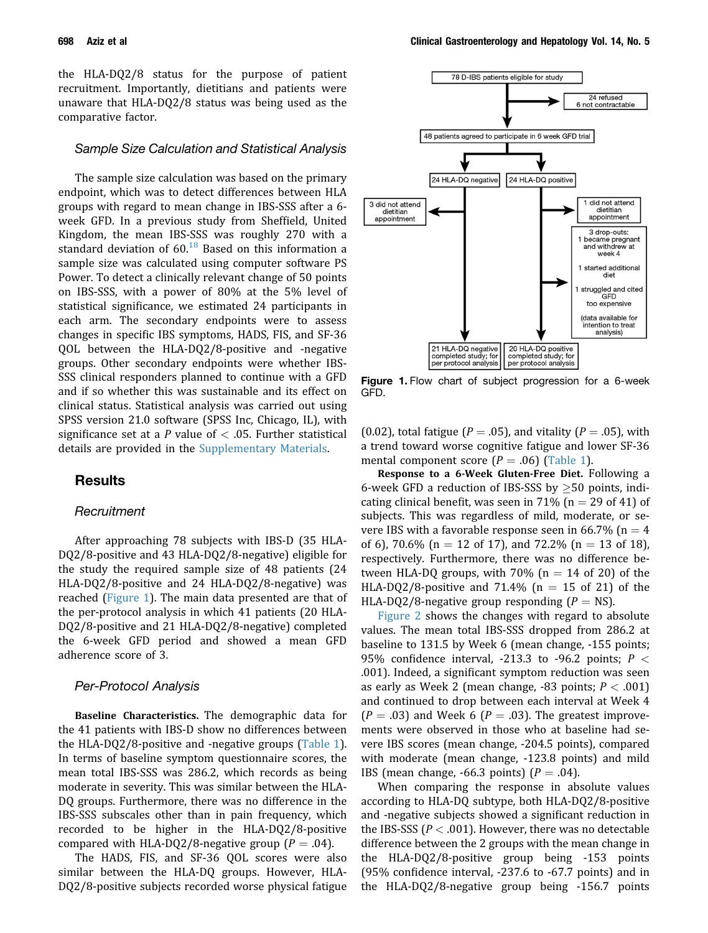the HLA-DQ2/8 status for the purpose of patient recruitment. Importantly, dietitians and patients were unaware that HLA-DQ2/8 status was being used as the comparative factor.

#### Sample Size Calculation and Statistical Analysis

The sample size calculation was based on the primary endpoint, which was to detect differences between HLA groups with regard to mean change in IBS-SSS after a 6 week GFD. In a previous study from Sheffield, United Kingdom, the mean IBS-SSS was roughly 270 with a standard deviation of  $60.<sup>18</sup>$  $60.<sup>18</sup>$  $60.<sup>18</sup>$  Based on this information a sample size was calculated using computer software PS Power. To detect a clinically relevant change of 50 points on IBS-SSS, with a power of 80% at the 5% level of statistical significance, we estimated 24 participants in each arm. The secondary endpoints were to assess changes in specific IBS symptoms, HADS, FIS, and SF-36 QOL between the HLA-DQ2/8-positive and -negative groups. Other secondary endpoints were whether IBS-SSS clinical responders planned to continue with a GFD and if so whether this was sustainable and its effect on clinical status. Statistical analysis was carried out using SPSS version 21.0 software (SPSS Inc, Chicago, IL), with significance set at a P value of  $<$  0.5. Further statistical details are provided in the [Supplementary Materials](#page-8-0).

### Results

#### Recruitment

After approaching 78 subjects with IBS-D (35 HLA-DQ2/8-positive and 43 HLA-DQ2/8-negative) eligible for the study the required sample size of 48 patients (24 HLA-DQ2/8-positive and 24 HLA-DQ2/8-negative) was reached (Figure 1). The main data presented are that of the per-protocol analysis in which 41 patients (20 HLA-DQ2/8-positive and 21 HLA-DQ2/8-negative) completed the 6-week GFD period and showed a mean GFD adherence score of 3.

#### Per-Protocol Analysis

Baseline Characteristics. The demographic data for the 41 patients with IBS-D show no differences between the HLA-DQ2/8-positive and -negative groups [\(Table 1](#page-3-0)). In terms of baseline symptom questionnaire scores, the mean total IBS-SSS was 286.2, which records as being moderate in severity. This was similar between the HLA-DQ groups. Furthermore, there was no difference in the IBS-SSS subscales other than in pain frequency, which recorded to be higher in the HLA-DQ2/8-positive compared with HLA-DQ2/8-negative group ( $P = .04$ ).

The HADS, FIS, and SF-36 QOL scores were also similar between the HLA-DQ groups. However, HLA-DQ2/8-positive subjects recorded worse physical fatigue



Figure 1. Flow chart of subject progression for a 6-week GFD.

(0.02), total fatigue ( $P = .05$ ), and vitality ( $P = .05$ ), with a trend toward worse cognitive fatigue and lower SF-36 mental component score  $(P = .06)$  ([Table 1](#page-3-0)).

Response to a 6-Week Gluten-Free Diet. Following a 6-week GFD a reduction of IBS-SSS by  $\geq$ 50 points, indicating clinical benefit, was seen in 71% ( $n = 29$  of 41) of subjects. This was regardless of mild, moderate, or severe IBS with a favorable response seen in 66.7% ( $n = 4$ ) of 6), 70.6% (n = 12 of 17), and 72.2% (n = 13 of 18), respectively. Furthermore, there was no difference between HLA-DQ groups, with  $70\%$  (n = 14 of 20) of the HLA-DQ2/8-positive and 71.4% ( $n = 15$  of 21) of the HLA-DQ2/8-negative group responding  $(P = NS)$ .

[Figure 2](#page-3-0) shows the changes with regard to absolute values. The mean total IBS-SSS dropped from 286.2 at baseline to 131.5 by Week 6 (mean change, -155 points; 95% confidence interval, -213.3 to -96.2 points;  $P <$ .001). Indeed, a significant symptom reduction was seen as early as Week 2 (mean change, -83 points;  $P < .001$ ) and continued to drop between each interval at Week 4  $(P = .03)$  and Week 6  $(P = .03)$ . The greatest improvements were observed in those who at baseline had severe IBS scores (mean change, -204.5 points), compared with moderate (mean change, -123.8 points) and mild IBS (mean change, -66.3 points)  $(P = .04)$ .

When comparing the response in absolute values according to HLA-DQ subtype, both HLA-DQ2/8-positive and -negative subjects showed a significant reduction in the IBS-SSS ( $P < .001$ ). However, there was no detectable difference between the 2 groups with the mean change in the HLA-DQ2/8-positive group being -153 points (95% confidence interval, -237.6 to -67.7 points) and in the HLA-DQ2/8-negative group being -156.7 points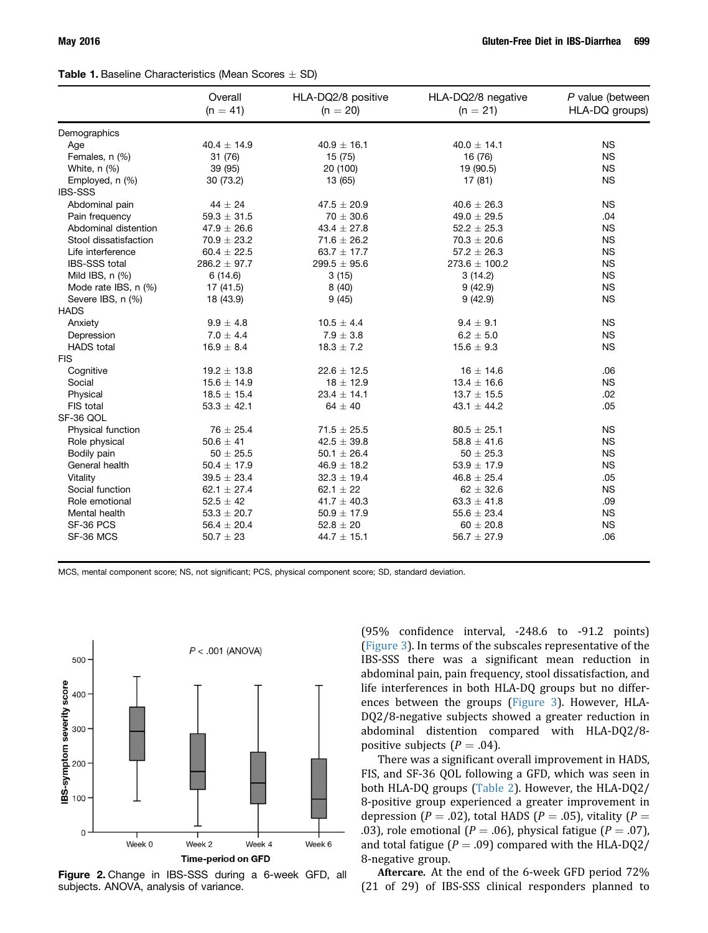#### <span id="page-3-0"></span>**Table 1.** Baseline Characteristics (Mean Scores  $\pm$  SD)

|                       | Overall<br>$(n = 41)$ | HLA-DQ2/8 positive<br>$(n = 20)$ | HLA-DQ2/8 negative<br>$(n = 21)$ | P value (between<br>HLA-DQ groups) |
|-----------------------|-----------------------|----------------------------------|----------------------------------|------------------------------------|
| Demographics          |                       |                                  |                                  |                                    |
| Age                   | $40.4 \pm 14.9$       | $40.9 \pm 16.1$                  | $40.0 \pm 14.1$                  | <b>NS</b>                          |
| Females, n (%)        | 31 (76)               | 15(75)                           | 16 (76)                          | <b>NS</b>                          |
| White, $n$ $(\%)$     | 39 (95)               | 20 (100)                         | 19 (90.5)                        | <b>NS</b>                          |
| Employed, n (%)       | 30 (73.2)             | 13 (65)                          | 17(81)                           | <b>NS</b>                          |
| <b>IBS-SSS</b>        |                       |                                  |                                  |                                    |
| Abdominal pain        | $44 \pm 24$           | $47.5 \pm 20.9$                  | $40.6 \pm 26.3$                  | <b>NS</b>                          |
| Pain frequency        | $59.3 \pm 31.5$       | $70 \pm 30.6$                    | 49.0 $\pm$ 29.5                  | .04                                |
| Abdominal distention  | $47.9 \pm 26.6$       | $43.4 \pm 27.8$                  | $52.2 \pm 25.3$                  | <b>NS</b>                          |
| Stool dissatisfaction | $70.9 \pm 23.2$       | $71.6 \pm 26.2$                  | $70.3 \pm 20.6$                  | <b>NS</b>                          |
| Life interference     | $60.4 \pm 22.5$       | 63.7 $\pm$ 17.7                  | $57.2 \pm 26.3$                  | <b>NS</b>                          |
| IBS-SSS total         | $286.2 \pm 97.7$      | $299.5 \pm 95.6$                 | $273.6 \pm 100.2$                | <b>NS</b>                          |
| Mild IBS, $n$ $(\%)$  | 6(14.6)               | 3(15)                            | 3(14.2)                          | <b>NS</b>                          |
| Mode rate IBS, n (%)  | 17 (41.5)             | 8(40)                            | 9(42.9)                          | <b>NS</b>                          |
| Severe IBS, n (%)     | 18 (43.9)             | 9(45)                            | 9(42.9)                          | <b>NS</b>                          |
| <b>HADS</b>           |                       |                                  |                                  |                                    |
| Anxiety               | $9.9 \pm 4.8$         | $10.5 \pm 4.4$                   | $9.4 \pm 9.1$                    | <b>NS</b>                          |
| Depression            | $7.0 \pm 4.4$         | $7.9 \pm 3.8$                    | $6.2 \pm 5.0$                    | <b>NS</b>                          |
| <b>HADS</b> total     | $16.9 \pm 8.4$        | $18.3 \pm 7.2$                   | $15.6 \pm 9.3$                   | <b>NS</b>                          |
| <b>FIS</b>            |                       |                                  |                                  |                                    |
| Cognitive             | $19.2 \pm 13.8$       | $22.6 \pm 12.5$                  | $16 \pm 14.6$                    | .06                                |
| Social                | $15.6 \pm 14.9$       | $18 \pm 12.9$                    | $13.4 \pm 16.6$                  | <b>NS</b>                          |
| Physical              | $18.5 \pm 15.4$       | $23.4 \pm 14.1$                  | $13.7 \pm 15.5$                  | .02                                |
| FIS total             | $53.3 \pm 42.1$       | $64 \pm 40$                      | 43.1 $\pm$ 44.2                  | .05                                |
| SF-36 QOL             |                       |                                  |                                  |                                    |
| Physical function     | $76 \pm 25.4$         | $71.5 \pm 25.5$                  | $80.5 \pm 25.1$                  | <b>NS</b>                          |
| Role physical         | $50.6 \pm 41$         | $42.5 \pm 39.8$                  | $58.8 \pm 41.6$                  | <b>NS</b>                          |
| Bodily pain           | $50 \pm 25.5$         | $50.1 \pm 26.4$                  | $50 \pm 25.3$                    | <b>NS</b>                          |
| General health        | $50.4 \pm 17.9$       | $46.9 \pm 18.2$                  | $53.9 \pm 17.9$                  | <b>NS</b>                          |
| Vitality              | $39.5 \pm 23.4$       | $32.3 \pm 19.4$                  | $46.8 \pm 25.4$                  | .05                                |
| Social function       | 62.1 $\pm$ 27.4       | 62.1 $\pm$ 22                    | $62 \pm 32.6$                    | <b>NS</b>                          |
| Role emotional        | 52.5 $\pm$ 42         | 41.7 $\pm$ 40.3                  | $63.3 \pm 41.8$                  | .09                                |
| Mental health         | $53.3 \pm 20.7$       | $50.9 \pm 17.9$                  | $55.6 \pm 23.4$                  | <b>NS</b>                          |
| SF-36 PCS             | 56.4 $\pm$ 20.4       | $52.8 \pm 20$                    | $60 \pm 20.8$                    | <b>NS</b>                          |
| SF-36 MCS             | $50.7 \pm 23$         | $44.7 \pm 15.1$                  | $56.7 \pm 27.9$                  | .06                                |

MCS, mental component score; NS, not significant; PCS, physical component score; SD, standard deviation.



Figure 2. Change in IBS-SSS during a 6-week GFD, all subjects. ANOVA, analysis of variance.

(95% confidence interval, -248.6 to -91.2 points) ([Figure 3\)](#page-4-0). In terms of the subscales representative of the IBS-SSS there was a significant mean reduction in abdominal pain, pain frequency, stool dissatisfaction, and life interferences in both HLA-DQ groups but no differences between the groups ([Figure 3\)](#page-4-0). However, HLA-DQ2/8-negative subjects showed a greater reduction in abdominal distention compared with HLA-DQ2/8 positive subjects  $(P = .04)$ .

There was a significant overall improvement in HADS, FIS, and SF-36 QOL following a GFD, which was seen in both HLA-DQ groups [\(Table 2](#page-5-0)). However, the HLA-DQ2/ 8-positive group experienced a greater improvement in depression ( $P = .02$ ), total HADS ( $P = .05$ ), vitality ( $P =$ .03), role emotional ( $P = .06$ ), physical fatigue ( $P = .07$ ), and total fatigue ( $P = .09$ ) compared with the HLA-DQ2/ 8-negative group.

Aftercare. At the end of the 6-week GFD period 72% (21 of 29) of IBS-SSS clinical responders planned to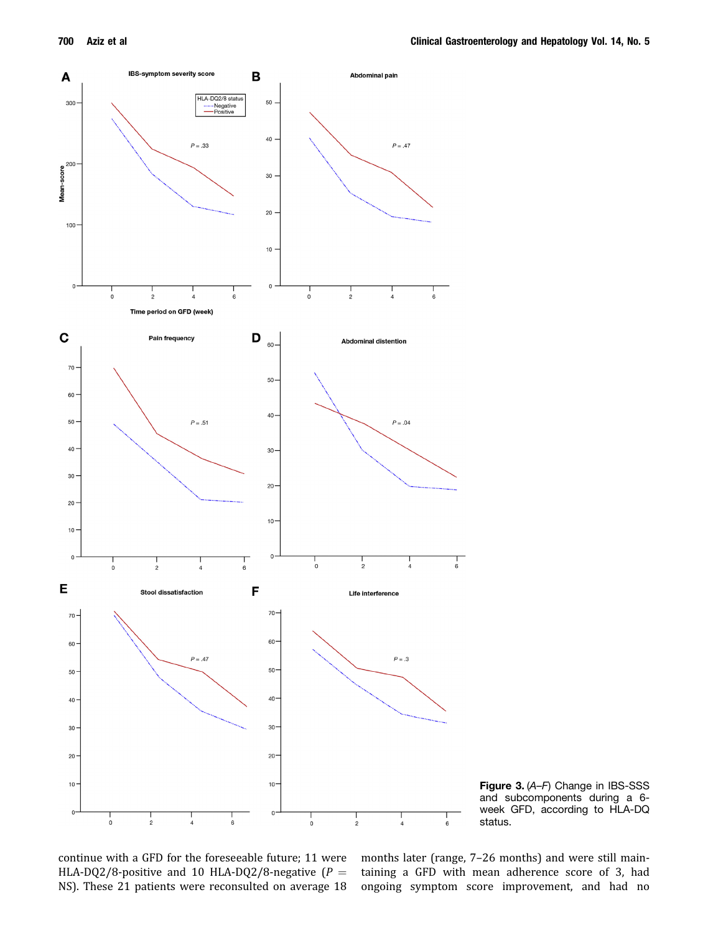<span id="page-4-0"></span>



continue with a GFD for the foreseeable future; 11 were HLA-DQ2/8-positive and 10 HLA-DQ2/8-negative ( $P =$ NS). These 21 patients were reconsulted on average 18 months later (range, 7–26 months) and were still maintaining a GFD with mean adherence score of 3, had ongoing symptom score improvement, and had no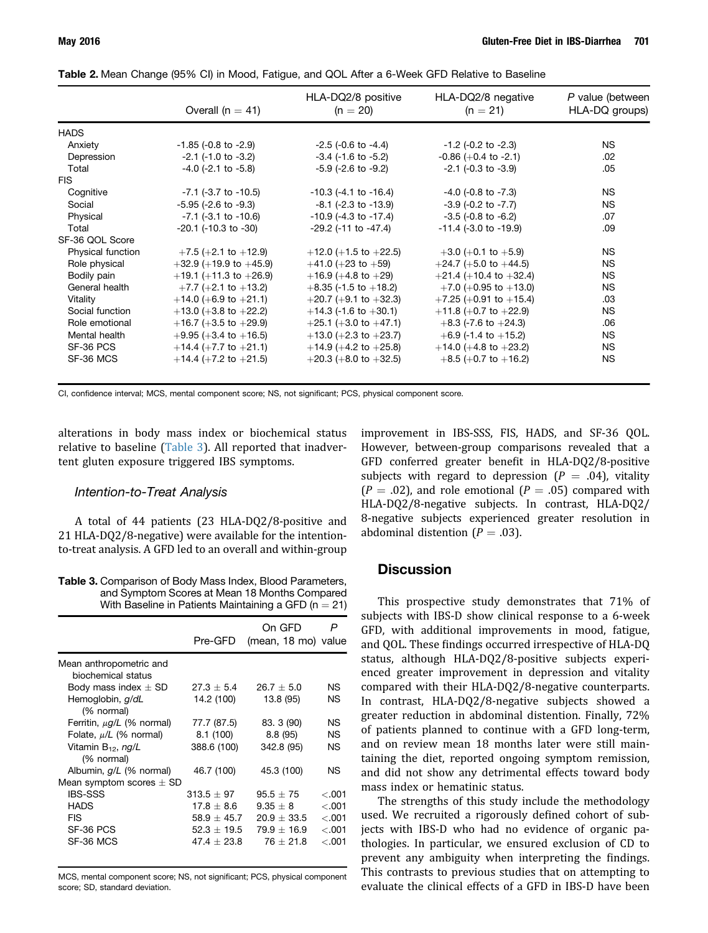|                   | Overall $(n = 41)$           | HLA-DQ2/8 positive<br>$(n = 20)$ | HLA-DQ2/8 negative<br>$(n = 21)$ | P value (between<br>HLA-DQ groups) |
|-------------------|------------------------------|----------------------------------|----------------------------------|------------------------------------|
| <b>HADS</b>       |                              |                                  |                                  |                                    |
| Anxiety           | $-1.85$ ( $-0.8$ to $-2.9$ ) | $-2.5$ ( $-0.6$ to $-4.4$ )      | $-1.2$ ( $-0.2$ to $-2.3$ )      | <b>NS</b>                          |
| Depression        | $-2.1$ $(-1.0$ to $-3.2)$    | $-3.4$ ( $-1.6$ to $-5.2$ )      | $-0.86 (+0.4 to -2.1)$           | .02                                |
| Total             | $-4.0$ ( $-2.1$ to $-5.8$ )  | $-5.9$ ( $-2.6$ to $-9.2$ )      | $-2.1$ $(-0.3$ to $-3.9)$        | .05                                |
| FIS.              |                              |                                  |                                  |                                    |
| Cognitive         | $-7.1$ (-3.7 to $-10.5$ )    | $-10.3$ ( $-4.1$ to $-16.4$ )    | $-4.0$ ( $-0.8$ to $-7.3$ )      | <b>NS</b>                          |
| Social            | $-5.95$ ( $-2.6$ to $-9.3$ ) | $-8.1$ ( $-2.3$ to $-13.9$ )     | $-3.9$ ( $-0.2$ to $-7.7$ )      | <b>NS</b>                          |
| Physical          | $-7.1$ ( $-3.1$ to $-10.6$ ) | $-10.9$ ( $-4.3$ to $-17.4$ )    | $-3.5$ ( $-0.8$ to $-6.2$ )      | .07                                |
| Total             | $-20.1$ ( $-10.3$ to $-30$ ) | $-29.2$ ( $-11$ to $-47.4$ )     | $-11.4$ ( $-3.0$ to $-19.9$ )    | .09                                |
| SF-36 QOL Score   |                              |                                  |                                  |                                    |
| Physical function | $+7.5$ (+2.1 to $+12.9$ )    | $+12.0$ (+1.5 to +22.5)          | $+3.0$ (+0.1 to +5.9)            | <b>NS</b>                          |
| Role physical     | $+32.9$ (+19.9 to +45.9)     | $+41.0 (+23 to +59)$             | $+24.7 (+5.0 to +44.5)$          | <b>NS</b>                          |
| Bodily pain       | $+19.1$ (+11.3 to +26.9)     | $+16.9$ (+4.8 to +29)            | $+21.4$ (+10.4 to +32.4)         | <b>NS</b>                          |
| General health    | $+7.7$ (+2.1 to $+13.2$ )    | $+8.35$ (-1.5 to $+18.2$ )       | $+7.0$ (+0.95 to +13.0)          | <b>NS</b>                          |
| Vitality          | $+14.0 (+6.9 to +21.1)$      | $+20.7$ (+9.1 to $+32.3$ )       | $+7.25 (+0.91 to +15.4)$         | .03                                |
| Social function   | $+13.0 (+3.8 to +22.2)$      | $+14.3$ (-1.6 to $+30.1$ )       | $+11.8 (+0.7 to +22.9)$          | <b>NS</b>                          |
| Role emotional    | $+16.7 (+3.5 to +29.9)$      | $+25.1 (+3.0 to +47.1)$          | $+8.3$ (-7.6 to $+24.3$ )        | .06                                |
| Mental health     | $+9.95 (+3.4 to +16.5)$      | $+13.0 (+2.3 to +23.7)$          | $+6.9$ (-1.4 to $+15.2$ )        | <b>NS</b>                          |
| SF-36 PCS         | $+14.4$ (+7.7 to +21.1)      | $+14.9$ (+4.2 to +25.8)          | $+14.0 (+4.8 to +23.2)$          | <b>NS</b>                          |
| SF-36 MCS         | $+14.4$ (+7.2 to +21.5)      | $+20.3 (+8.0 to +32.5)$          | $+8.5 (+0.7 to +16.2)$           | <b>NS</b>                          |

<span id="page-5-0"></span>

CI, confidence interval; MCS, mental component score; NS, not significant; PCS, physical component score.

alterations in body mass index or biochemical status relative to baseline (Table 3). All reported that inadvertent gluten exposure triggered IBS symptoms.

#### Intention-to-Treat Analysis

A total of 44 patients (23 HLA-DQ2/8-positive and 21 HLA-DQ2/8-negative) were available for the intentionto-treat analysis. A GFD led to an overall and within-group

Table 3. Comparison of Body Mass Index, Blood Parameters, and Symptom Scores at Mean 18 Months Compared With Baseline in Patients Maintaining a GFD ( $n = 21$ )

| Pre-GFD        | On GFD          | P                                                                      |
|----------------|-----------------|------------------------------------------------------------------------|
|                |                 |                                                                        |
| $27.3 + 5.4$   | $26.7 + 5.0$    | ΝS                                                                     |
| 14.2 (100)     | 13.8 (95)       | ΝS                                                                     |
| 77.7 (87.5)    | 83. 3 (90)      | <b>NS</b>                                                              |
| 8.1 (100)      | 8.8(95)         | NS                                                                     |
| 388.6 (100)    | 342.8 (95)      | NS                                                                     |
| 46.7 (100)     | 45.3 (100)      | ΝS                                                                     |
|                |                 |                                                                        |
| $313.5 \pm 97$ | $95.5 + 75$     | < 0.001                                                                |
| $17.8 + 8.6$   | $9.35 + 8$      | $-.001$                                                                |
|                | $20.9 \pm 33.5$ | $-.001$                                                                |
|                | $79.9 \pm 16.9$ | < .001                                                                 |
|                | $76 \pm 21.8$   | < 0.001                                                                |
|                |                 | (mean, 18 mo) value<br>$58.9 + 45.7$<br>$52.3 + 19.5$<br>$47.4 + 23.8$ |

MCS, mental component score; NS, not significant; PCS, physical component score; SD, standard deviation.

improvement in IBS-SSS, FIS, HADS, and SF-36 QOL. However, between-group comparisons revealed that a GFD conferred greater benefit in HLA-DQ2/8-positive subjects with regard to depression  $(P = .04)$ , vitality  $(P = .02)$ , and role emotional  $(P = .05)$  compared with HLA-DQ2/8-negative subjects. In contrast, HLA-DQ2/ 8-negative subjects experienced greater resolution in abdominal distention ( $P = .03$ ).

# **Discussion**

This prospective study demonstrates that 71% of subjects with IBS-D show clinical response to a 6-week GFD, with additional improvements in mood, fatigue, and QOL. These findings occurred irrespective of HLA-DQ status, although HLA-DQ2/8-positive subjects experienced greater improvement in depression and vitality compared with their HLA-DQ2/8-negative counterparts. In contrast, HLA-DQ2/8-negative subjects showed a greater reduction in abdominal distention. Finally, 72% of patients planned to continue with a GFD long-term, and on review mean 18 months later were still maintaining the diet, reported ongoing symptom remission, and did not show any detrimental effects toward body mass index or hematinic status.

The strengths of this study include the methodology used. We recruited a rigorously defined cohort of subjects with IBS-D who had no evidence of organic pathologies. In particular, we ensured exclusion of CD to prevent any ambiguity when interpreting the findings. This contrasts to previous studies that on attempting to evaluate the clinical effects of a GFD in IBS-D have been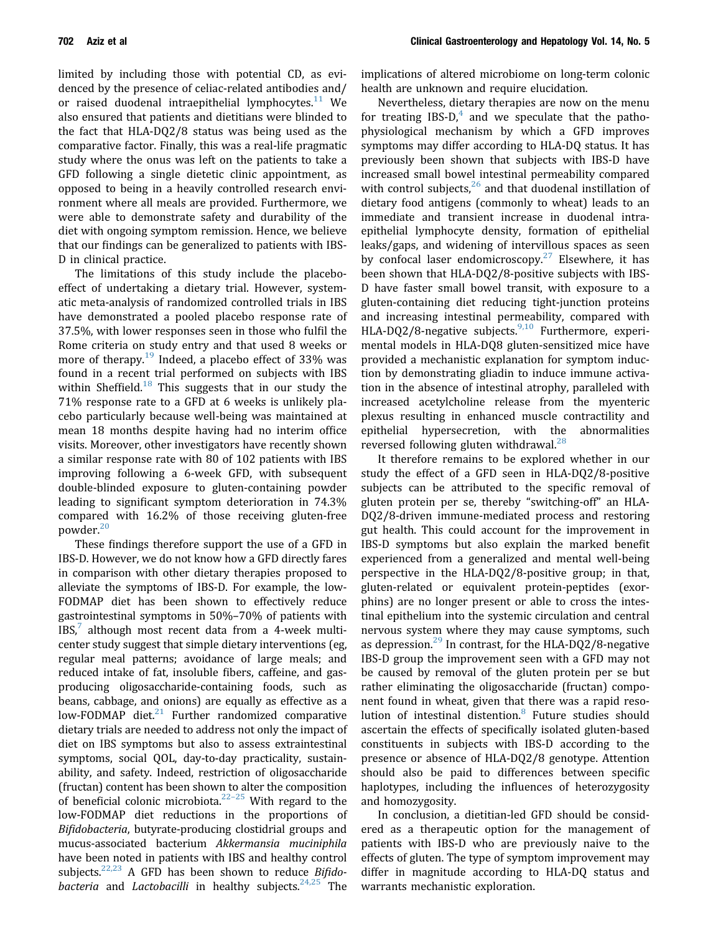limited by including those with potential CD, as evidenced by the presence of celiac-related antibodies and/ or raised duodenal intraepithelial lymphocytes.<sup>[11](#page-7-0)</sup> We also ensured that patients and dietitians were blinded to the fact that HLA-DQ2/8 status was being used as the comparative factor. Finally, this was a real-life pragmatic study where the onus was left on the patients to take a GFD following a single dietetic clinic appointment, as opposed to being in a heavily controlled research environment where all meals are provided. Furthermore, we were able to demonstrate safety and durability of the diet with ongoing symptom remission. Hence, we believe that our findings can be generalized to patients with IBS-D in clinical practice.

The limitations of this study include the placeboeffect of undertaking a dietary trial. However, systematic meta-analysis of randomized controlled trials in IBS have demonstrated a pooled placebo response rate of 37.5%, with lower responses seen in those who fulfil the Rome criteria on study entry and that used 8 weeks or more of therapy. $19$  Indeed, a placebo effect of 33% was found in a recent trial performed on subjects with IBS within Sheffield. $18$  This suggests that in our study the 71% response rate to a GFD at 6 weeks is unlikely placebo particularly because well-being was maintained at mean 18 months despite having had no interim office visits. Moreover, other investigators have recently shown a similar response rate with 80 of 102 patients with IBS improving following a 6-week GFD, with subsequent double-blinded exposure to gluten-containing powder leading to significant symptom deterioration in 74.3% compared with 16.2% of those receiving gluten-free powder.<sup>[20](#page-7-0)</sup>

These findings therefore support the use of a GFD in IBS-D. However, we do not know how a GFD directly fares in comparison with other dietary therapies proposed to alleviate the symptoms of IBS-D. For example, the low-FODMAP diet has been shown to effectively reduce gastrointestinal symptoms in 50%–70% of patients with  $IBS<sub>1</sub><sup>7</sup>$  $IBS<sub>1</sub><sup>7</sup>$  $IBS<sub>1</sub><sup>7</sup>$  although most recent data from a 4-week multicenter study suggest that simple dietary interventions (eg, regular meal patterns; avoidance of large meals; and reduced intake of fat, insoluble fibers, caffeine, and gasproducing oligosaccharide-containing foods, such as beans, cabbage, and onions) are equally as effective as a low-FODMAP diet. $21$  Further randomized comparative dietary trials are needed to address not only the impact of diet on IBS symptoms but also to assess extraintestinal symptoms, social QOL, day-to-day practicality, sustainability, and safety. Indeed, restriction of oligosaccharide (fructan) content has been shown to alter the composition of beneficial colonic microbiota. $22-25$  $22-25$  $22-25$  With regard to the low-FODMAP diet reductions in the proportions of Bifidobacteria, butyrate-producing clostidrial groups and mucus-associated bacterium Akkermansia muciniphila have been noted in patients with IBS and healthy control subjects.<sup>[22,23](#page-7-0)</sup> A GFD has been shown to reduce *Bifido*bacteria and *Lactobacilli* in healthy subjects.<sup>24,25</sup> The implications of altered microbiome on long-term colonic health are unknown and require elucidation.

Nevertheless, dietary therapies are now on the menu for treating IBS-D,<sup>[4](#page-7-0)</sup> and we speculate that the pathophysiological mechanism by which a GFD improves symptoms may differ according to HLA-DQ status. It has previously been shown that subjects with IBS-D have increased small bowel intestinal permeability compared with control subjects, $^{26}$  $^{26}$  $^{26}$  and that duodenal instillation of dietary food antigens (commonly to wheat) leads to an immediate and transient increase in duodenal intraepithelial lymphocyte density, formation of epithelial leaks/gaps, and widening of intervillous spaces as seen by confocal laser endomicroscopy.<sup>[27](#page-7-0)</sup> Elsewhere, it has been shown that HLA-DQ2/8-positive subjects with IBS-D have faster small bowel transit, with exposure to a gluten-containing diet reducing tight-junction proteins and increasing intestinal permeability, compared with HLA-DQ2/8-negative subjects.  $9,10$  Furthermore, experimental models in HLA-DQ8 gluten-sensitized mice have provided a mechanistic explanation for symptom induction by demonstrating gliadin to induce immune activation in the absence of intestinal atrophy, paralleled with increased acetylcholine release from the myenteric plexus resulting in enhanced muscle contractility and epithelial hypersecretion, with the abnormalities reversed following gluten withdrawal.<sup>[28](#page-7-0)</sup>

It therefore remains to be explored whether in our study the effect of a GFD seen in HLA-DQ2/8-positive subjects can be attributed to the specific removal of gluten protein per se, thereby "switching-off" an HLA-DQ2/8-driven immune-mediated process and restoring gut health. This could account for the improvement in IBS-D symptoms but also explain the marked benefit experienced from a generalized and mental well-being perspective in the HLA-DQ2/8-positive group; in that, gluten-related or equivalent protein-peptides (exorphins) are no longer present or able to cross the intestinal epithelium into the systemic circulation and central nervous system where they may cause symptoms, such as depression.<sup>[29](#page-7-0)</sup> In contrast, for the HLA-DQ2/8-negative IBS-D group the improvement seen with a GFD may not be caused by removal of the gluten protein per se but rather eliminating the oligosaccharide (fructan) component found in wheat, given that there was a rapid reso-lution of intestinal distention.<sup>[8](#page-7-0)</sup> Future studies should ascertain the effects of specifically isolated gluten-based constituents in subjects with IBS-D according to the presence or absence of HLA-DQ2/8 genotype. Attention should also be paid to differences between specific haplotypes, including the influences of heterozygosity and homozygosity.

In conclusion, a dietitian-led GFD should be considered as a therapeutic option for the management of patients with IBS-D who are previously naive to the effects of gluten. The type of symptom improvement may differ in magnitude according to HLA-DQ status and warrants mechanistic exploration.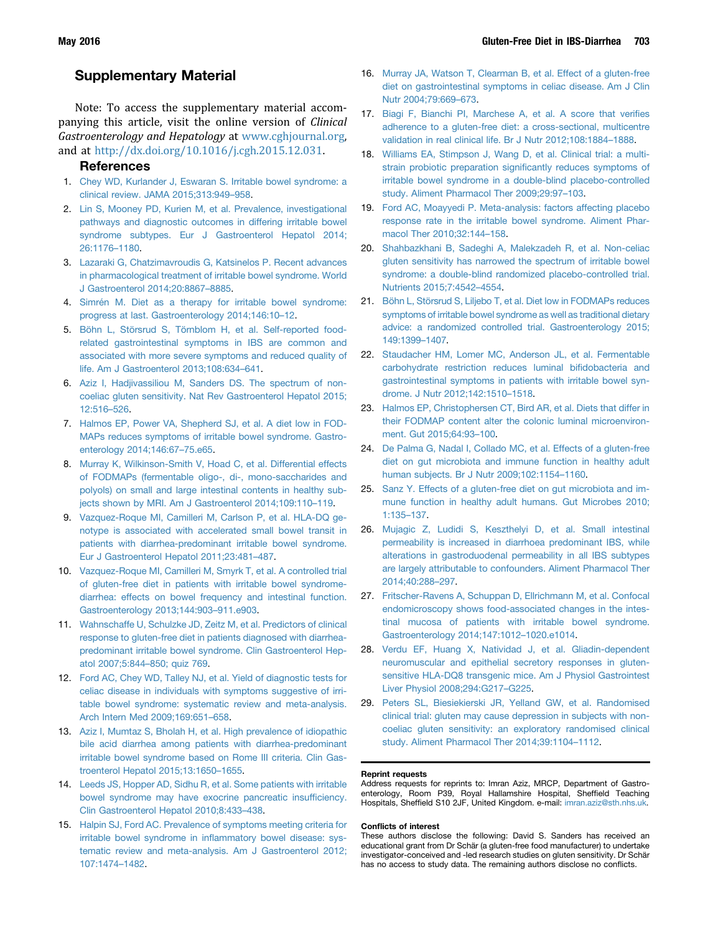### <span id="page-7-0"></span>Supplementary Material

Note: To access the supplementary material accompanying this article, visit the online version of Clinical Gastroenterology and Hepatology at [www.cghjournal.org](http://www.cghjournal.org/), and at [http://dx.doi.org/10.1016/j.cgh.2015.12.031.](http://dx.doi.org/10.1016/j.cgh.2015.12.031)

### **References**

- 1. [Chey WD, Kurlander J, Eswaran S. Irritable bowel syndrome: a](http://refhub.elsevier.com/S1542-3565(15)01715-2/sref1) [clinical review. JAMA 2015;313:949](http://refhub.elsevier.com/S1542-3565(15)01715-2/sref1)–[958](http://refhub.elsevier.com/S1542-3565(15)01715-2/sref1).
- 2. [Lin S, Mooney PD, Kurien M, et al. Prevalence, investigational](http://refhub.elsevier.com/S1542-3565(15)01715-2/sref2) [pathways and diagnostic outcomes in differing irritable bowel](http://refhub.elsevier.com/S1542-3565(15)01715-2/sref2) [syndrome subtypes. Eur J Gastroenterol Hepatol 2014;](http://refhub.elsevier.com/S1542-3565(15)01715-2/sref2) [26:1176](http://refhub.elsevier.com/S1542-3565(15)01715-2/sref2)–[1180.](http://refhub.elsevier.com/S1542-3565(15)01715-2/sref2)
- 3. [Lazaraki G, Chatzimavroudis G, Katsinelos P. Recent advances](http://refhub.elsevier.com/S1542-3565(15)01715-2/sref3) [in pharmacological treatment of irritable bowel syndrome. World](http://refhub.elsevier.com/S1542-3565(15)01715-2/sref3) [J Gastroenterol 2014;20:8867](http://refhub.elsevier.com/S1542-3565(15)01715-2/sref3)–[8885.](http://refhub.elsevier.com/S1542-3565(15)01715-2/sref3)
- 4. [Simrén M. Diet as a therapy for irritable bowel syndrome:](http://refhub.elsevier.com/S1542-3565(15)01715-2/sref4) [progress at last. Gastroenterology 2014;146:10](http://refhub.elsevier.com/S1542-3565(15)01715-2/sref4)–[12](http://refhub.elsevier.com/S1542-3565(15)01715-2/sref4).
- 5. [Böhn L, Störsrud S, Törnblom H, et al. Self-reported food](http://refhub.elsevier.com/S1542-3565(15)01715-2/sref5)[related gastrointestinal symptoms in IBS are common and](http://refhub.elsevier.com/S1542-3565(15)01715-2/sref5) [associated with more severe symptoms and reduced quality of](http://refhub.elsevier.com/S1542-3565(15)01715-2/sref5) [life. Am J Gastroenterol 2013;108:634](http://refhub.elsevier.com/S1542-3565(15)01715-2/sref5)–[641.](http://refhub.elsevier.com/S1542-3565(15)01715-2/sref5)
- 6. [Aziz I, Hadjivassiliou M, Sanders DS. The spectrum of non](http://refhub.elsevier.com/S1542-3565(15)01715-2/sref6)[coeliac gluten sensitivity. Nat Rev Gastroenterol Hepatol 2015;](http://refhub.elsevier.com/S1542-3565(15)01715-2/sref6) [12:516](http://refhub.elsevier.com/S1542-3565(15)01715-2/sref6)–[526](http://refhub.elsevier.com/S1542-3565(15)01715-2/sref6).
- 7. [Halmos EP, Power VA, Shepherd SJ, et al. A diet low in FOD-](http://refhub.elsevier.com/S1542-3565(15)01715-2/sref7)[MAPs reduces symptoms of irritable bowel syndrome. Gastro](http://refhub.elsevier.com/S1542-3565(15)01715-2/sref7)[enterology 2014;146:67](http://refhub.elsevier.com/S1542-3565(15)01715-2/sref7)–[75.e65](http://refhub.elsevier.com/S1542-3565(15)01715-2/sref7).
- 8. [Murray K, Wilkinson-Smith V, Hoad C, et al. Differential effects](http://refhub.elsevier.com/S1542-3565(15)01715-2/sref8) [of FODMAPs \(fermentable oligo-, di-, mono-saccharides and](http://refhub.elsevier.com/S1542-3565(15)01715-2/sref8) [polyols\) on small and large intestinal contents in healthy sub](http://refhub.elsevier.com/S1542-3565(15)01715-2/sref8)[jects shown by MRI. Am J Gastroenterol 2014;109:110](http://refhub.elsevier.com/S1542-3565(15)01715-2/sref8)–[119](http://refhub.elsevier.com/S1542-3565(15)01715-2/sref8).
- 9. [Vazquez-Roque MI, Camilleri M, Carlson P, et al. HLA-DQ ge](http://refhub.elsevier.com/S1542-3565(15)01715-2/sref9)[notype is associated with accelerated small bowel transit in](http://refhub.elsevier.com/S1542-3565(15)01715-2/sref9) [patients with diarrhea-predominant irritable bowel syndrome.](http://refhub.elsevier.com/S1542-3565(15)01715-2/sref9) [Eur J Gastroenterol Hepatol 2011;23:481](http://refhub.elsevier.com/S1542-3565(15)01715-2/sref9)–[487.](http://refhub.elsevier.com/S1542-3565(15)01715-2/sref9)
- 10. [Vazquez-Roque MI, Camilleri M, Smyrk T, et al. A controlled trial](http://refhub.elsevier.com/S1542-3565(15)01715-2/sref10) [of gluten-free diet in patients with irritable bowel syndrome](http://refhub.elsevier.com/S1542-3565(15)01715-2/sref10)[diarrhea: effects on bowel frequency and intestinal function.](http://refhub.elsevier.com/S1542-3565(15)01715-2/sref10) [Gastroenterology 2013;144:903](http://refhub.elsevier.com/S1542-3565(15)01715-2/sref10)–[911.e903](http://refhub.elsevier.com/S1542-3565(15)01715-2/sref10).
- 11. [Wahnschaffe U, Schulzke JD, Zeitz M, et al. Predictors of clinical](http://refhub.elsevier.com/S1542-3565(15)01715-2/sref11) [response to gluten-free diet in patients diagnosed with diarrhea](http://refhub.elsevier.com/S1542-3565(15)01715-2/sref11)[predominant irritable bowel syndrome. Clin Gastroenterol Hep](http://refhub.elsevier.com/S1542-3565(15)01715-2/sref11)[atol 2007;5:844](http://refhub.elsevier.com/S1542-3565(15)01715-2/sref11)–[850; quiz 769](http://refhub.elsevier.com/S1542-3565(15)01715-2/sref11).
- 12. [Ford AC, Chey WD, Talley NJ, et al. Yield of diagnostic tests for](http://refhub.elsevier.com/S1542-3565(15)01715-2/sref12) [celiac disease in individuals with symptoms suggestive of irri](http://refhub.elsevier.com/S1542-3565(15)01715-2/sref12)[table bowel syndrome: systematic review and meta-analysis.](http://refhub.elsevier.com/S1542-3565(15)01715-2/sref12) [Arch Intern Med 2009;169:651](http://refhub.elsevier.com/S1542-3565(15)01715-2/sref12)–[658](http://refhub.elsevier.com/S1542-3565(15)01715-2/sref12).
- 13. [Aziz I, Mumtaz S, Bholah H, et al. High prevalence of idiopathic](http://refhub.elsevier.com/S1542-3565(15)01715-2/sref13) [bile acid diarrhea among patients with diarrhea-predominant](http://refhub.elsevier.com/S1542-3565(15)01715-2/sref13) [irritable bowel syndrome based on Rome III criteria. Clin Gas](http://refhub.elsevier.com/S1542-3565(15)01715-2/sref13)[troenterol Hepatol 2015;13:1650](http://refhub.elsevier.com/S1542-3565(15)01715-2/sref13)–[1655](http://refhub.elsevier.com/S1542-3565(15)01715-2/sref13).
- 14. [Leeds JS, Hopper AD, Sidhu R, et al. Some patients with irritable](http://refhub.elsevier.com/S1542-3565(15)01715-2/sref14) [bowel syndrome may have exocrine pancreatic insuf](http://refhub.elsevier.com/S1542-3565(15)01715-2/sref14)ficiency. [Clin Gastroenterol Hepatol 2010;8:433](http://refhub.elsevier.com/S1542-3565(15)01715-2/sref14)–[438](http://refhub.elsevier.com/S1542-3565(15)01715-2/sref14).
- 15. [Halpin SJ, Ford AC. Prevalence of symptoms meeting criteria for](http://refhub.elsevier.com/S1542-3565(15)01715-2/sref15) irritable bowel syndrome in infl[ammatory bowel disease: sys](http://refhub.elsevier.com/S1542-3565(15)01715-2/sref15)[tematic review and meta-analysis. Am J Gastroenterol 2012;](http://refhub.elsevier.com/S1542-3565(15)01715-2/sref15) [107:1474](http://refhub.elsevier.com/S1542-3565(15)01715-2/sref15)–[1482](http://refhub.elsevier.com/S1542-3565(15)01715-2/sref15).
- 16. [Murray JA, Watson T, Clearman B, et al. Effect of a gluten-free](http://refhub.elsevier.com/S1542-3565(15)01715-2/sref16) [diet on gastrointestinal symptoms in celiac disease. Am J Clin](http://refhub.elsevier.com/S1542-3565(15)01715-2/sref16) [Nutr 2004;79:669](http://refhub.elsevier.com/S1542-3565(15)01715-2/sref16)–[673.](http://refhub.elsevier.com/S1542-3565(15)01715-2/sref16)
- 17. [Biagi F, Bianchi PI, Marchese A, et al. A score that veri](http://refhub.elsevier.com/S1542-3565(15)01715-2/sref17)fies [adherence to a gluten-free diet: a cross-sectional, multicentre](http://refhub.elsevier.com/S1542-3565(15)01715-2/sref17) [validation in real clinical life. Br J Nutr 2012;108:1884](http://refhub.elsevier.com/S1542-3565(15)01715-2/sref17)–[1888.](http://refhub.elsevier.com/S1542-3565(15)01715-2/sref17)
- 18. [Williams EA, Stimpson J, Wang D, et al. Clinical trial: a multi](http://refhub.elsevier.com/S1542-3565(15)01715-2/sref18)[strain probiotic preparation signi](http://refhub.elsevier.com/S1542-3565(15)01715-2/sref18)ficantly reduces symptoms of [irritable bowel syndrome in a double-blind placebo-controlled](http://refhub.elsevier.com/S1542-3565(15)01715-2/sref18) [study. Aliment Pharmacol Ther 2009;29:97](http://refhub.elsevier.com/S1542-3565(15)01715-2/sref18)–[103](http://refhub.elsevier.com/S1542-3565(15)01715-2/sref18).
- 19. [Ford AC, Moayyedi P. Meta-analysis: factors affecting placebo](http://refhub.elsevier.com/S1542-3565(15)01715-2/sref19) [response rate in the irritable bowel syndrome. Aliment Phar](http://refhub.elsevier.com/S1542-3565(15)01715-2/sref19)[macol Ther 2010;32:144](http://refhub.elsevier.com/S1542-3565(15)01715-2/sref19)–[158](http://refhub.elsevier.com/S1542-3565(15)01715-2/sref19).
- 20. [Shahbazkhani B, Sadeghi A, Malekzadeh R, et al. Non-celiac](http://refhub.elsevier.com/S1542-3565(15)01715-2/sref20) [gluten sensitivity has narrowed the spectrum of irritable bowel](http://refhub.elsevier.com/S1542-3565(15)01715-2/sref20) [syndrome: a double-blind randomized placebo-controlled trial.](http://refhub.elsevier.com/S1542-3565(15)01715-2/sref20) [Nutrients 2015;7:4542](http://refhub.elsevier.com/S1542-3565(15)01715-2/sref20)–[4554.](http://refhub.elsevier.com/S1542-3565(15)01715-2/sref20)
- 21. [Böhn L, Störsrud S, Liljebo T, et al. Diet low in FODMAPs reduces](http://refhub.elsevier.com/S1542-3565(15)01715-2/sref21) [symptoms of irritable bowel syndrome as well as traditional dietary](http://refhub.elsevier.com/S1542-3565(15)01715-2/sref21) [advice: a randomized controlled trial. Gastroenterology 2015;](http://refhub.elsevier.com/S1542-3565(15)01715-2/sref21) [149:1399](http://refhub.elsevier.com/S1542-3565(15)01715-2/sref21)–[1407](http://refhub.elsevier.com/S1542-3565(15)01715-2/sref21).
- 22. [Staudacher HM, Lomer MC, Anderson JL, et al. Fermentable](http://refhub.elsevier.com/S1542-3565(15)01715-2/sref22) [carbohydrate restriction reduces luminal bi](http://refhub.elsevier.com/S1542-3565(15)01715-2/sref22)fidobacteria and [gastrointestinal symptoms in patients with irritable bowel syn](http://refhub.elsevier.com/S1542-3565(15)01715-2/sref22)[drome. J Nutr 2012;142:1510](http://refhub.elsevier.com/S1542-3565(15)01715-2/sref22)–[1518.](http://refhub.elsevier.com/S1542-3565(15)01715-2/sref22)
- 23. [Halmos EP, Christophersen CT, Bird AR, et al. Diets that differ in](http://refhub.elsevier.com/S1542-3565(15)01715-2/sref23) [their FODMAP content alter the colonic luminal microenviron](http://refhub.elsevier.com/S1542-3565(15)01715-2/sref23)[ment. Gut 2015;64:93](http://refhub.elsevier.com/S1542-3565(15)01715-2/sref23)–[100.](http://refhub.elsevier.com/S1542-3565(15)01715-2/sref23)
- 24. [De Palma G, Nadal I, Collado MC, et al. Effects of a gluten-free](http://refhub.elsevier.com/S1542-3565(15)01715-2/sref24) [diet on gut microbiota and immune function in healthy adult](http://refhub.elsevier.com/S1542-3565(15)01715-2/sref24) [human subjects. Br J Nutr 2009;102:1154](http://refhub.elsevier.com/S1542-3565(15)01715-2/sref24)–[1160](http://refhub.elsevier.com/S1542-3565(15)01715-2/sref24).
- 25. [Sanz Y. Effects of a gluten-free diet on gut microbiota and im](http://refhub.elsevier.com/S1542-3565(15)01715-2/sref25)[mune function in healthy adult humans. Gut Microbes 2010;](http://refhub.elsevier.com/S1542-3565(15)01715-2/sref25) [1:135](http://refhub.elsevier.com/S1542-3565(15)01715-2/sref25)–[137.](http://refhub.elsevier.com/S1542-3565(15)01715-2/sref25)
- 26. [Mujagic Z, Ludidi S, Keszthelyi D, et al. Small intestinal](http://refhub.elsevier.com/S1542-3565(15)01715-2/sref26) [permeability is increased in diarrhoea predominant IBS, while](http://refhub.elsevier.com/S1542-3565(15)01715-2/sref26) [alterations in gastroduodenal permeability in all IBS subtypes](http://refhub.elsevier.com/S1542-3565(15)01715-2/sref26) [are largely attributable to confounders. Aliment Pharmacol Ther](http://refhub.elsevier.com/S1542-3565(15)01715-2/sref26) [2014;40:288](http://refhub.elsevier.com/S1542-3565(15)01715-2/sref26)–[297.](http://refhub.elsevier.com/S1542-3565(15)01715-2/sref26)
- 27. [Fritscher-Ravens A, Schuppan D, Ellrichmann M, et al. Confocal](http://refhub.elsevier.com/S1542-3565(15)01715-2/sref27) [endomicroscopy shows food-associated changes in the intes](http://refhub.elsevier.com/S1542-3565(15)01715-2/sref27)[tinal mucosa of patients with irritable bowel syndrome.](http://refhub.elsevier.com/S1542-3565(15)01715-2/sref27) [Gastroenterology 2014;147:1012](http://refhub.elsevier.com/S1542-3565(15)01715-2/sref27)–[1020.e1014.](http://refhub.elsevier.com/S1542-3565(15)01715-2/sref27)
- 28. [Verdu EF, Huang X, Natividad J, et al. Gliadin-dependent](http://refhub.elsevier.com/S1542-3565(15)01715-2/sref28) [neuromuscular and epithelial secretory responses in gluten](http://refhub.elsevier.com/S1542-3565(15)01715-2/sref28)[sensitive HLA-DQ8 transgenic mice. Am J Physiol Gastrointest](http://refhub.elsevier.com/S1542-3565(15)01715-2/sref28) [Liver Physiol 2008;294:G217](http://refhub.elsevier.com/S1542-3565(15)01715-2/sref28)–[G225.](http://refhub.elsevier.com/S1542-3565(15)01715-2/sref28)
- 29. [Peters SL, Biesiekierski JR, Yelland GW, et al. Randomised](http://refhub.elsevier.com/S1542-3565(15)01715-2/sref29) [clinical trial: gluten may cause depression in subjects with non](http://refhub.elsevier.com/S1542-3565(15)01715-2/sref29)[coeliac gluten sensitivity: an exploratory randomised clinical](http://refhub.elsevier.com/S1542-3565(15)01715-2/sref29) [study. Aliment Pharmacol Ther 2014;39:1104](http://refhub.elsevier.com/S1542-3565(15)01715-2/sref29)–[1112.](http://refhub.elsevier.com/S1542-3565(15)01715-2/sref29)

#### Reprint requests

Address requests for reprints to: Imran Aziz, MRCP, Department of Gastroenterology, Room P39, Royal Hallamshire Hospital, Sheffield Teaching Hospitals, Sheffield S10 2JF, United Kingdom. e-mail: [imran.aziz@sth.nhs.uk](mailto:imran.aziz@sth.nhs.uk).

#### Conflicts of interest

These authors disclose the following: David S. Sanders has received an educational grant from Dr Schär (a gluten-free food manufacturer) to undertake investigator-conceived and -led research studies on gluten sensitivity. Dr Schär has no access to study data. The remaining authors disclose no conflicts.